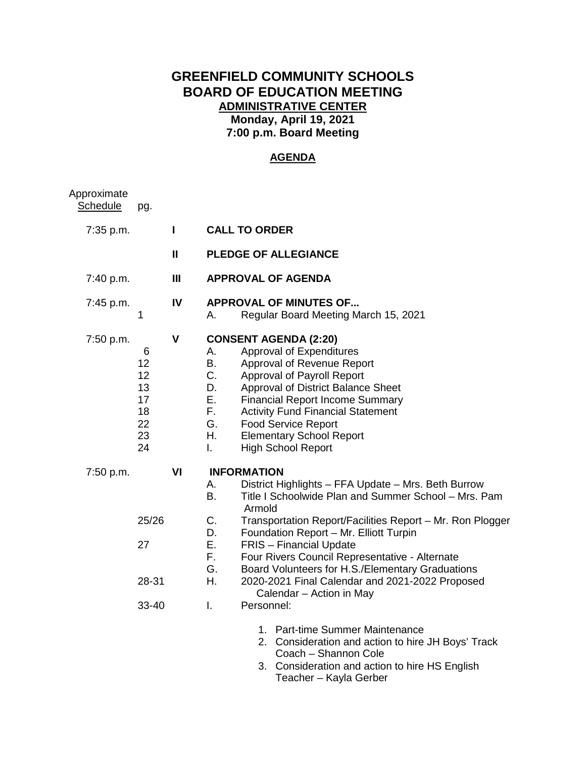# **GREENFIELD COMMUNITY SCHOOLS BOARD OF EDUCATION MEETING ADMINISTRATIVE CENTER Monday, April 19, 2021 7:00 p.m. Board Meeting**

## **AGENDA**

| Approximate<br>Schedule | pg.                                               |                |                                                                                                                                                                                                                                                                                                                                                                                                                |  |
|-------------------------|---------------------------------------------------|----------------|----------------------------------------------------------------------------------------------------------------------------------------------------------------------------------------------------------------------------------------------------------------------------------------------------------------------------------------------------------------------------------------------------------------|--|
| 7:35 p.m.               |                                                   | $\mathbf{I}$   | <b>CALL TO ORDER</b>                                                                                                                                                                                                                                                                                                                                                                                           |  |
|                         |                                                   | $\mathbf{I}$   | <b>PLEDGE OF ALLEGIANCE</b>                                                                                                                                                                                                                                                                                                                                                                                    |  |
| 7:40 p.m.               |                                                   | $\mathbf{III}$ | <b>APPROVAL OF AGENDA</b>                                                                                                                                                                                                                                                                                                                                                                                      |  |
| 7:45 p.m.               | 1                                                 | IV             | <b>APPROVAL OF MINUTES OF</b><br>Regular Board Meeting March 15, 2021<br>А.                                                                                                                                                                                                                                                                                                                                    |  |
| 7:50 p.m.               | 6<br>12<br>12<br>13<br>17<br>18<br>22<br>23<br>24 | $\mathbf v$    | <b>CONSENT AGENDA (2:20)</b><br>Approval of Expenditures<br>Α.<br>B.<br>Approval of Revenue Report<br>C.<br>Approval of Payroll Report<br>D.<br>Approval of District Balance Sheet<br>Ε.<br><b>Financial Report Income Summary</b><br>F.<br><b>Activity Fund Financial Statement</b><br>G.<br><b>Food Service Report</b><br>Η.<br><b>Elementary School Report</b><br><b>High School Report</b><br>$\mathbf{L}$ |  |
| 7:50 p.m.               |                                                   | VI             | <b>INFORMATION</b><br>District Highlights - FFA Update - Mrs. Beth Burrow<br>А.<br><b>B.</b><br>Title I Schoolwide Plan and Summer School - Mrs. Pam<br>Armold                                                                                                                                                                                                                                                 |  |
|                         | 25/26                                             |                | C.<br>Transportation Report/Facilities Report - Mr. Ron Plogger<br>D.<br>Foundation Report - Mr. Elliott Turpin                                                                                                                                                                                                                                                                                                |  |
|                         | 27                                                |                | Ε.<br><b>FRIS</b> - Financial Update<br>F.<br>Four Rivers Council Representative - Alternate<br>G.<br>Board Volunteers for H.S./Elementary Graduations                                                                                                                                                                                                                                                         |  |
|                         | 28-31                                             |                | 2020-2021 Final Calendar and 2021-2022 Proposed<br>Η.<br>Calendar - Action in May                                                                                                                                                                                                                                                                                                                              |  |
|                         | 33-40                                             |                | $\mathbf{L}$<br>Personnel:                                                                                                                                                                                                                                                                                                                                                                                     |  |
|                         |                                                   |                | 1. Part-time Summer Maintenance<br>2. Consideration and action to hire JH Boys' Track<br>Coach - Shannon Cole                                                                                                                                                                                                                                                                                                  |  |

3. Consideration and action to hire HS English Teacher – Kayla Gerber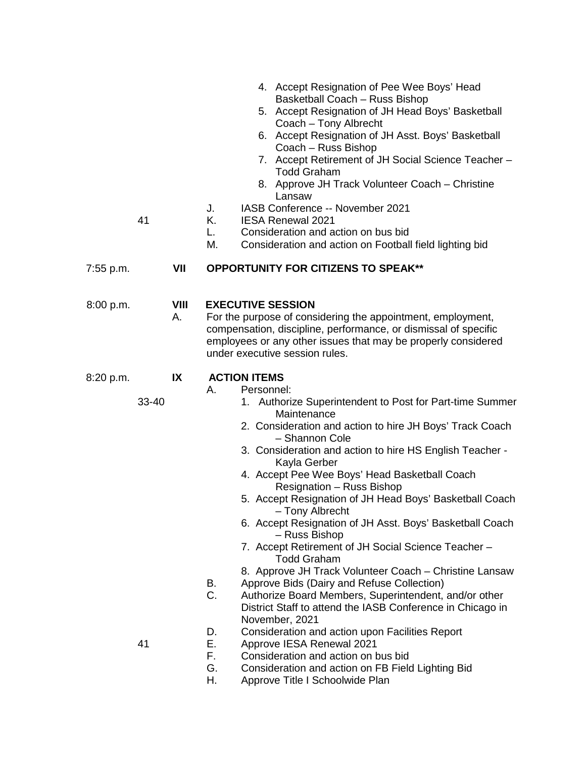|           |       |                   | 4. Accept Resignation of Pee Wee Boys' Head<br>Basketball Coach - Russ Bishop<br>5. Accept Resignation of JH Head Boys' Basketball<br>Coach - Tony Albrecht<br>6. Accept Resignation of JH Asst. Boys' Basketball<br>Coach - Russ Bishop<br>7. Accept Retirement of JH Social Science Teacher -<br><b>Todd Graham</b><br>8. Approve JH Track Volunteer Coach - Christine                                                                                                                                                                                                                                                                                                                                                                                                                                                                                        |
|-----------|-------|-------------------|-----------------------------------------------------------------------------------------------------------------------------------------------------------------------------------------------------------------------------------------------------------------------------------------------------------------------------------------------------------------------------------------------------------------------------------------------------------------------------------------------------------------------------------------------------------------------------------------------------------------------------------------------------------------------------------------------------------------------------------------------------------------------------------------------------------------------------------------------------------------|
|           | 41    |                   | Lansaw<br>IASB Conference -- November 2021<br>J.<br>K.<br><b>IESA Renewal 2021</b><br>Consideration and action on bus bid<br>L.<br>М.<br>Consideration and action on Football field lighting bid                                                                                                                                                                                                                                                                                                                                                                                                                                                                                                                                                                                                                                                                |
| 7:55 p.m. |       | VII               | <b>OPPORTUNITY FOR CITIZENS TO SPEAK**</b>                                                                                                                                                                                                                                                                                                                                                                                                                                                                                                                                                                                                                                                                                                                                                                                                                      |
| 8:00 p.m. |       | <b>VIII</b><br>Α. | <b>EXECUTIVE SESSION</b><br>For the purpose of considering the appointment, employment,<br>compensation, discipline, performance, or dismissal of specific<br>employees or any other issues that may be properly considered<br>under executive session rules.                                                                                                                                                                                                                                                                                                                                                                                                                                                                                                                                                                                                   |
| 8:20 p.m. | 33-40 | IX                | <b>ACTION ITEMS</b><br>Personnel:<br>А.<br>1. Authorize Superintendent to Post for Part-time Summer<br>Maintenance<br>2. Consideration and action to hire JH Boys' Track Coach<br>- Shannon Cole<br>3. Consideration and action to hire HS English Teacher -<br>Kayla Gerber<br>4. Accept Pee Wee Boys' Head Basketball Coach<br>Resignation - Russ Bishop<br>5. Accept Resignation of JH Head Boys' Basketball Coach<br>- Tony Albrecht<br>6. Accept Resignation of JH Asst. Boys' Basketball Coach<br>- Russ Bishop<br>7. Accept Retirement of JH Social Science Teacher -<br><b>Todd Graham</b><br>8. Approve JH Track Volunteer Coach - Christine Lansaw<br>Approve Bids (Dairy and Refuse Collection)<br>В.<br>C.<br>Authorize Board Members, Superintendent, and/or other<br>District Staff to attend the IASB Conference in Chicago in<br>November, 2021 |
|           | 41    |                   | Consideration and action upon Facilities Report<br>D.<br>Е.<br>Approve IESA Renewal 2021<br>F.<br>Consideration and action on bus bid<br>G.<br>Consideration and action on FB Field Lighting Bid                                                                                                                                                                                                                                                                                                                                                                                                                                                                                                                                                                                                                                                                |

H. Approve Title I Schoolwide Plan